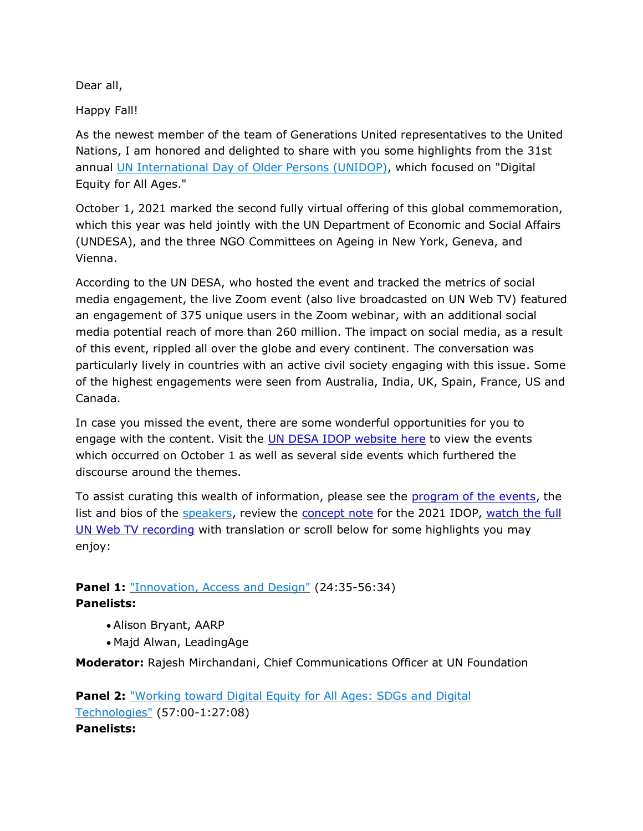Dear all,

Happy Fall!

As the newest member of the team of Generations United representatives to the United Nations, I am honored and delighted to share with you some highlights from the 31st annual [UN International Day of Older Persons \(UNIDOP\),](https://www.un.org/development/desa/ageing/2021-unidop-digital-equity-for-all-ages.html) which focused on "Digital Equity for All Ages."

October 1, 2021 marked the second fully virtual offering of this global commemoration, which this year was held jointly with the UN Department of Economic and Social Affairs (UNDESA), and the three NGO Committees on Ageing in New York, Geneva, and Vienna.

According to the UN DESA, who hosted the event and tracked the metrics of social media engagement, the live Zoom event (also live broadcasted on UN Web TV) featured an engagement of 375 unique users in the Zoom webinar, with an additional social media potential reach of more than 260 million. The impact on social media, as a result of this event, rippled all over the globe and every continent. The conversation was particularly lively in countries with an active civil society engaging with this issue. Some of the highest engagements were seen from Australia, India, UK, Spain, France, US and Canada.

In case you missed the event, there are some wonderful opportunities for you to engage with the content. Visit the [UN DESA IDOP website here](https://www.un.org/development/desa/ageing/2021-unidop-digital-equity-for-all-ages.html) to view the events which occurred on October 1 as well as several side events which furthered the discourse around the themes.

To assist curating this wealth of information, please see the [program of the events,](https://www.un.org/development/desa/ageing/wp-content/uploads/sites/24/2021/09/Program-Flyer.pdf) the list and bios of the [speakers,](https://www.un.org/development/desa/ageing/wp-content/uploads/sites/24/2021/09/UNIDOP-Speaker-Bios.pdf) review the [concept note](https://www.un.org/development/desa/ageing/wp-content/uploads/sites/24/2021/08/UNIDOP2021_concept-statement-1.pdf) for the 2021 IDOP, watch the full [UN Web TV recording](https://media.un.org/asset/k18/k18s87lhis) with translation or scroll below for some highlights you may enjoy:

## **Panel 1:** ["Innovation, Access and Design"](https://youtu.be/YCKgRo-Yl-g?t=1460) (24:35-56:34) **Panelists:**

- Alison Bryant, AARP
- Majd Alwan, LeadingAge

**Moderator:** Rajesh Mirchandani, Chief Communications Officer at UN Foundation

**Panel 2:** ["Working toward Digital Equity for All Ages: SDGs and Digital](https://youtu.be/YCKgRo-Yl-g?t=3408)  [Technologies"](https://youtu.be/YCKgRo-Yl-g?t=3408) (57:00-1:27:08) **Panelists:**